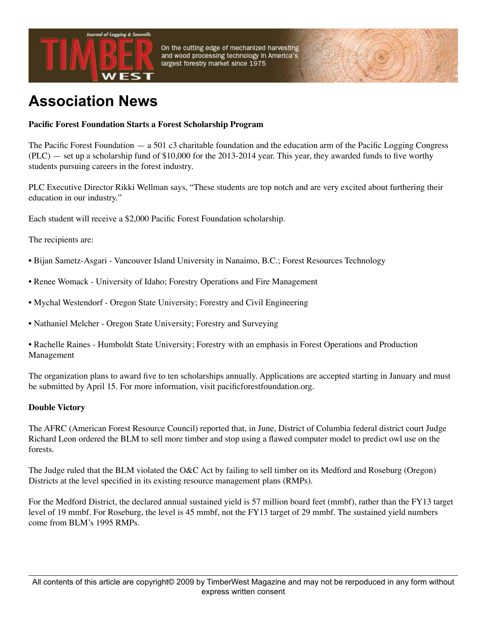

On the cutting edge of mechanized harvesting and wood processing technology in America's largest forestry market since 1975

## **Association News**

## **Pacific Forest Foundation Starts a Forest Scholarship Program**

The Pacific Forest Foundation — a 501 c3 charitable foundation and the education arm of the Pacific Logging Congress (PLC) — set up a scholarship fund of \$10,000 for the 2013-2014 year. This year, they awarded funds to five worthy students pursuing careers in the forest industry.

PLC Executive Director Rikki Wellman says, "These students are top notch and are very excited about furthering their education in our industry."

Each student will receive a \$2,000 Pacific Forest Foundation scholarship.

The recipients are:

- Bijan Sametz-Asgari Vancouver Island University in Nanaimo, B.C.; Forest Resources Technology
- Renee Womack University of Idaho; Forestry Operations and Fire Management
- Mychal Westendorf Oregon State University; Forestry and Civil Engineering
- Nathaniel Melcher Oregon State University; Forestry and Surveying

• Rachelle Raines - Humboldt State University; Forestry with an emphasis in Forest Operations and Production Management

The organization plans to award five to ten scholarships annually. Applications are accepted starting in January and must be submitted by April 15. For more information, visit pacificforestfoundation.org.

## **Double Victory**

The AFRC (American Forest Resource Council) reported that, in June, District of Columbia federal district court Judge Richard Leon ordered the BLM to sell more timber and stop using a flawed computer model to predict owl use on the forests.

The Judge ruled that the BLM violated the O&C Act by failing to sell timber on its Medford and Roseburg (Oregon) Districts at the level specified in its existing resource management plans (RMPs).

For the Medford District, the declared annual sustained yield is 57 million board feet (mmbf), rather than the FY13 target level of 19 mmbf. For Roseburg, the level is 45 mmbf, not the FY13 target of 29 mmbf. The sustained yield numbers come from BLM's 1995 RMPs.